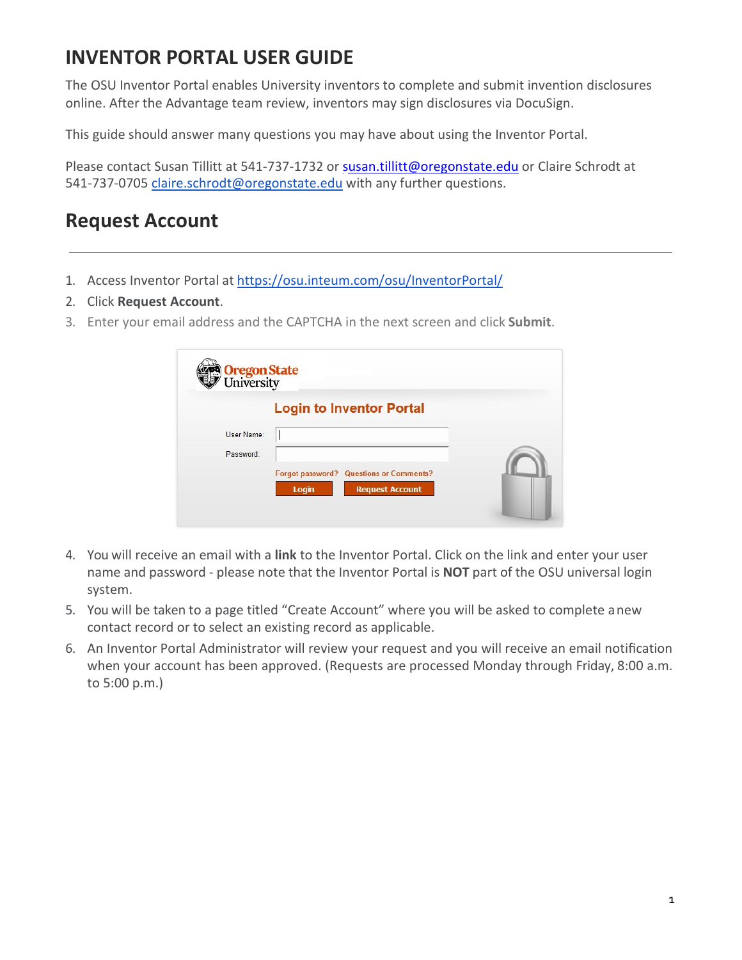## **INVENTOR PORTAL USER GUIDE**

The OSU Inventor Portal enables University inventors to complete and submit invention disclosures online. After the Advantage team review, inventors may sign disclosures via DocuSign.

This guide should answer many questions you may have about using the Inventor Portal.

Please contact Susan Tillitt at 541-737-1732 or [susan.tillitt@oregonstate.edu](mailto:susan.tillitt@oregonstate.edu) or Claire Schrodt at 541-737-0705 [claire.schrodt@oregonstate.edu](mailto:claire.schrodt@oregonstate.edu) with any further questions.

### **Request Account**

- 1. Access Inventor Portal at <https://osu.inteum.com/osu/InventorPortal/>
- 2. Click **Request Account**.
- 3. Enter your email address and the CAPTCHA in the next screen and click **Submit**.

| Oregon State<br>University |                                                                                   |  |
|----------------------------|-----------------------------------------------------------------------------------|--|
|                            | <b>Login to Inventor Portal</b>                                                   |  |
| User Name:                 |                                                                                   |  |
| Password:                  |                                                                                   |  |
|                            | <b>Forgot password? Questions or Comments?</b><br><b>Request Account</b><br>Login |  |

- 4. You will receive an email with a **link** to the Inventor Portal. Click on the link and enter your user name and password - please note that the Inventor Portal is **NOT** part of the OSU universal login system.
- 5. You will be taken to a page titled "Create Account" where you will be asked to complete anew contact record or to select an existing record as applicable.
- 6. An Inventor Portal Administrator will review your request and you will receive an email notification when your account has been approved. (Requests are processed Monday through Friday, 8:00 a.m. to 5:00 p.m.)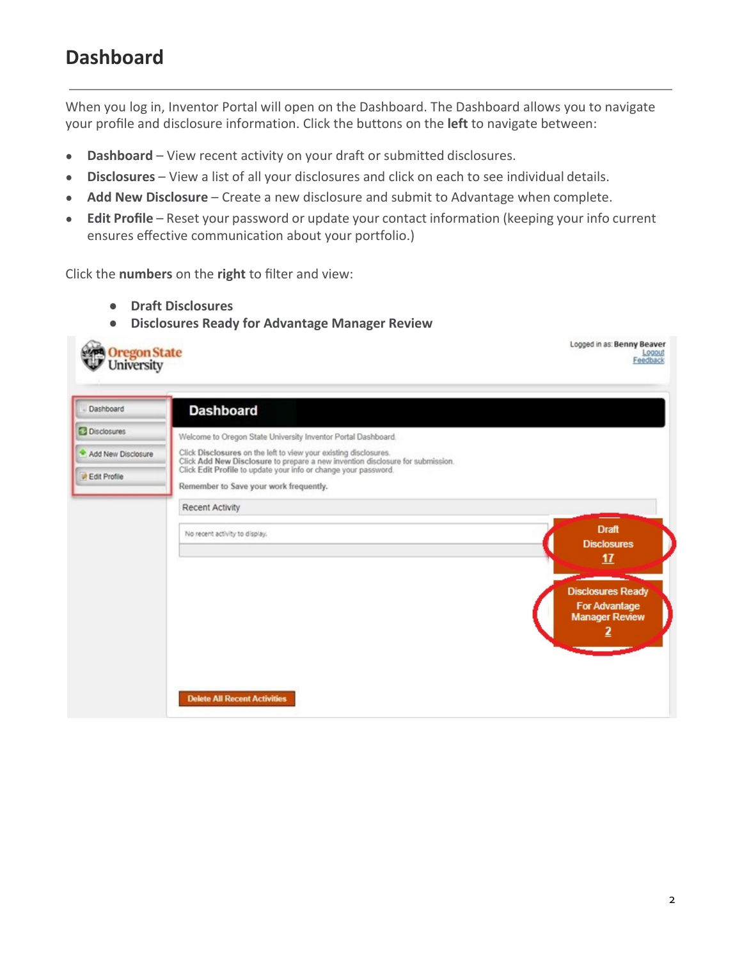### **Dashboard**

When you log in, Inventor Portal will open on the Dashboard. The Dashboard allows you to navigate your profile and disclosure information. Click the buttons on the **left** to navigate between:

- **Dashboard**  View recent activity on your draft or submitted disclosures.
- **Disclosures**  View a list of all your disclosures and click on each to see individual details.
- **Add New Disclosure**  Create a new disclosure and submit to Advantage when complete.
- **Edit Profile** Reset your password or update your contact information (keeping your info current ensures effective communication about your portfolio.)

Click the **numbers** on the **right** to filter and view:

- **Draft Disclosures**
- **Disclosures Ready for Advantage Manager Review**

| Oregon State                                |                                                                                                                                                                                                                                                                 | Logged in as: Benny Beaver<br>Feedback                                    |
|---------------------------------------------|-----------------------------------------------------------------------------------------------------------------------------------------------------------------------------------------------------------------------------------------------------------------|---------------------------------------------------------------------------|
| Dashboard                                   | <b>Dashboard</b>                                                                                                                                                                                                                                                |                                                                           |
| <b>Disclosures</b>                          | Welcome to Oregon State University Inventor Portal Dashboard.                                                                                                                                                                                                   |                                                                           |
| Add New Disclosure<br><b>D</b> Edit Profile | Click Disclosures on the left to view your existing disclosures.<br>Click Add New Disclosure to prepare a new invention disclosure for submission.<br>Click Edit Profile to update your info or change your password.<br>Remember to Save your work frequently. |                                                                           |
|                                             | <b>Recent Activity</b>                                                                                                                                                                                                                                          |                                                                           |
|                                             | No recent activity to display.                                                                                                                                                                                                                                  | <b>Draft</b><br><b>Disclosures</b><br>17                                  |
|                                             |                                                                                                                                                                                                                                                                 | <b>Disclosures Ready</b><br><b>For Advantage</b><br><b>Manager Review</b> |
|                                             | <b>Delete All Recent Activities</b>                                                                                                                                                                                                                             |                                                                           |

 $\sim$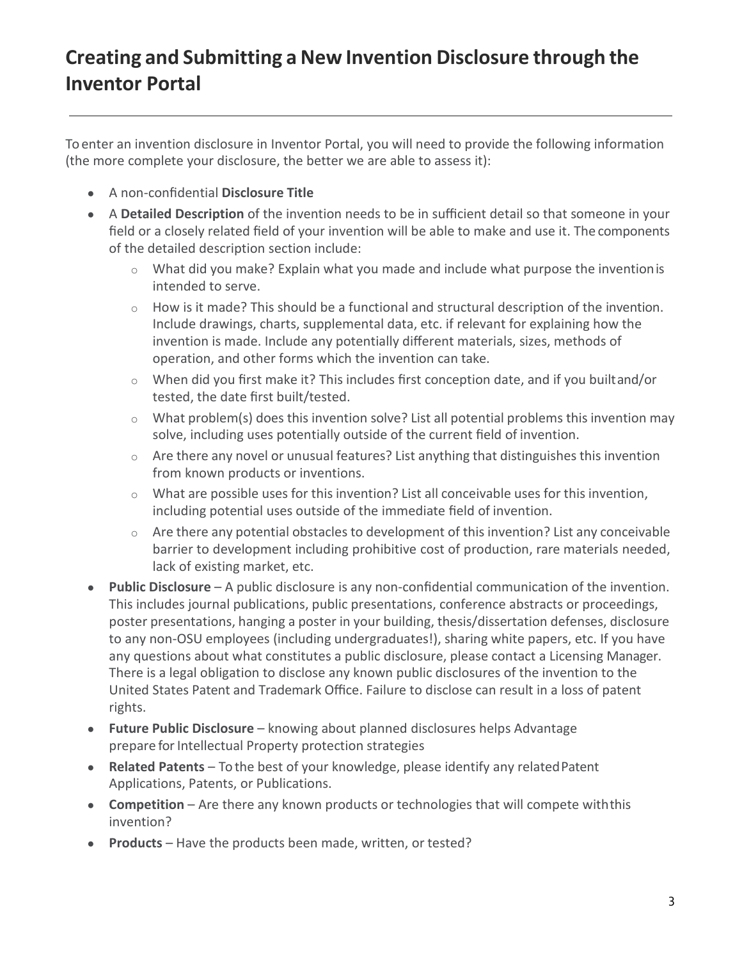# **Creating and Submitting a New Invention Disclosure through the Inventor Portal**

To enter an invention disclosure in Inventor Portal, you will need to provide the following information (the more complete your disclosure, the better we are able to assess it):

- A non-confidential **Disclosure Title**
- A **Detailed Description** of the invention needs to be in sufficient detail so that someone in your field or a closely related field of your invention will be able to make and use it. The components of the detailed description section include:
	- $\circ$  What did you make? Explain what you made and include what purpose the invention is intended to serve.
	- $\circ$  How is it made? This should be a functional and structural description of the invention. Include drawings, charts, supplemental data, etc. if relevant for explaining how the invention is made. Include any potentially different materials, sizes, methods of operation, and other forms which the invention can take.
	- o When did you first make it? This includes first conception date, and if you builtand/or tested, the date first built/tested.
	- $\circ$  What problem(s) does this invention solve? List all potential problems this invention may solve, including uses potentially outside of the current field of invention.
	- $\circ$  Are there any novel or unusual features? List anything that distinguishes this invention from known products or inventions.
	- o What are possible uses for this invention? List all conceivable uses for this invention, including potential uses outside of the immediate field of invention.
	- o Are there any potential obstacles to development of this invention? List any conceivable barrier to development including prohibitive cost of production, rare materials needed, lack of existing market, etc.
- **Public Disclosure**  A public disclosure is any non-confidential communication of the invention. This includes journal publications, public presentations, conference abstracts or proceedings, poster presentations, hanging a poster in your building, thesis/dissertation defenses, disclosure to any non-OSU employees (including undergraduates!), sharing white papers, etc. If you have any questions about what constitutes a public disclosure, please contact a Licensing Manager. There is a legal obligation to disclose any known public disclosures of the invention to the United States Patent and Trademark Office. Failure to disclose can result in a loss of patent rights.
- **Future Public Disclosure**  knowing about planned disclosures helps Advantage prepare for Intellectual Property protection strategies
- **Related Patents**  To the best of your knowledge, please identify any relatedPatent Applications, Patents, or Publications.
- **Competition** Are there any known products or technologies that will compete with this invention?
- **Products**  Have the products been made, written, or tested?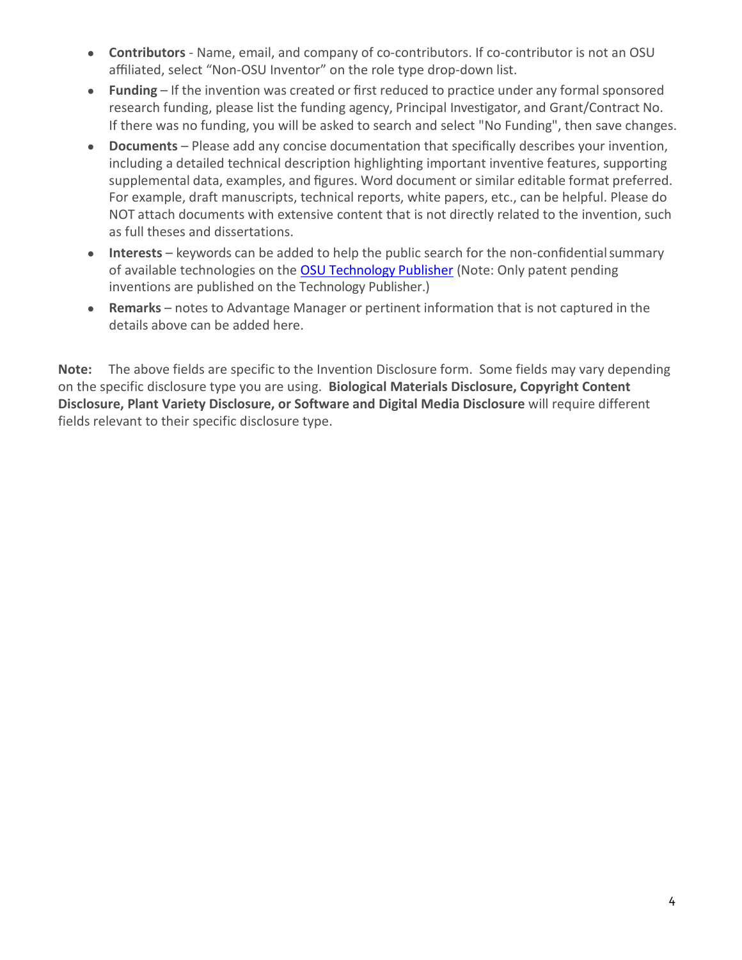- **Contributors**  Name, email, and company of co-contributors. If co-contributor is not an OSU affiliated, select "Non-OSU Inventor" on the role type drop-down list.
- **Funding** If the invention was created or first reduced to practice under any formal sponsored research funding, please list the funding agency, Principal Investigator, and Grant/Contract No. If there was no funding, you will be asked to search and select "No Funding", then save changes.
- **Documents**  Please add any concise documentation that specifically describes your invention, including a detailed technical description highlighting important inventive features, supporting supplemental data, examples, and figures. Word document or similar editable format preferred. For example, draft manuscripts, technical reports, white papers, etc., can be helpful. Please do NOT attach documents with extensive content that is not directly related to the invention, such as full theses and dissertations.
- **Interests** keywords can be added to help the public search for the non-confidential summary of available technologies on the [OSU Technology Publisher](http://oregonstate.technologypublisher.com/) (Note: Only patent pending inventions are published on the Technology Publisher.)
- **Remarks** notes to Advantage Manager or pertinent information that is not captured in the details above can be added here.

**Note:** The above fields are specific to the Invention Disclosure form. Some fields may vary depending on the specific disclosure type you are using. **Biological Materials Disclosure, Copyright Content Disclosure, Plant Variety Disclosure, or Software and Digital Media Disclosure** will require different fields relevant to their specific disclosure type.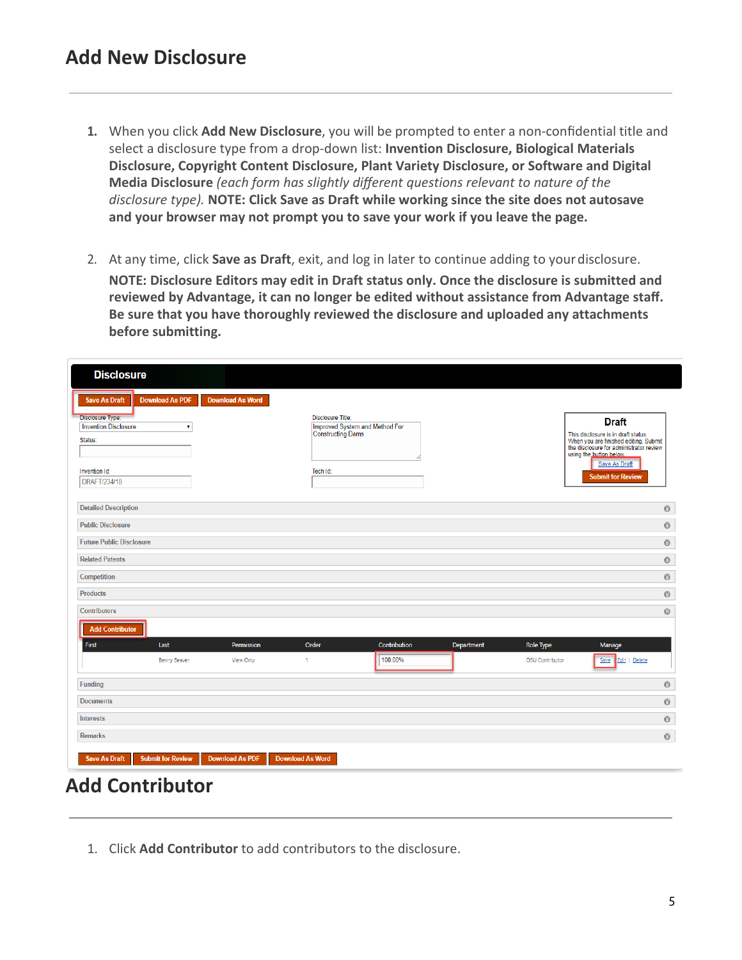- **1.** When you click **Add New Disclosure**, you will be prompted to enter a non-confidential title and select a disclosure type from a drop-down list: **Invention Disclosure, Biological Materials Disclosure, Copyright Content Disclosure, Plant Variety Disclosure, or Software and Digital Media Disclosure** *(each form has slightly different questions relevant to nature of the disclosure type).* **NOTE: Click Save as Draft while working since the site does not autosave and your browser may not prompt you to save your work if you leave the page.**
- 2. At any time, click **Save as Draft**, exit, and log in later to continue adding to yourdisclosure. **NOTE: Disclosure Editors may edit in Draft status only. Once the disclosure is submitted and reviewed by Advantage, it can no longer be edited without assistance from Advantage staff. Be sure that you have thoroughly reviewed the disclosure and uploaded any attachments before submitting.**

| <b>Disclosure</b>                                                                                                                                                                 |                         |                                                                                                    |              |            |                  |                                                                                                                                                                                                                        |
|-----------------------------------------------------------------------------------------------------------------------------------------------------------------------------------|-------------------------|----------------------------------------------------------------------------------------------------|--------------|------------|------------------|------------------------------------------------------------------------------------------------------------------------------------------------------------------------------------------------------------------------|
| <b>Save As Draft</b><br><b>Download As PDF</b><br><b>Disclosure Type:</b><br><b>Invention Disclosure</b><br>$\pmb{\mathrm{v}}$<br>Status:<br>Invention Id:<br><b>DRAFT/234/18</b> | <b>Download As Word</b> | <b>Disclosure Title:</b><br>Improved System and Method For<br><b>Constructing Dams</b><br>Tech Id: |              |            |                  | <b>Draft</b><br>This disclosure is in draft status.<br>When you are finished editing, Submit<br>the disclosure for administrator review<br>using the button below.<br><b>Save As Draft</b><br><b>Submit for Review</b> |
| <b>Detailed Description</b>                                                                                                                                                       |                         |                                                                                                    |              |            |                  | Ø                                                                                                                                                                                                                      |
| <b>Public Disclosure</b>                                                                                                                                                          |                         |                                                                                                    |              |            |                  | Ø                                                                                                                                                                                                                      |
| <b>Future Public Disclosure</b>                                                                                                                                                   |                         |                                                                                                    |              |            |                  | $\odot$                                                                                                                                                                                                                |
| <b>Related Patents</b>                                                                                                                                                            |                         |                                                                                                    |              |            |                  | Ø                                                                                                                                                                                                                      |
| Competition                                                                                                                                                                       |                         |                                                                                                    |              |            |                  | Ø                                                                                                                                                                                                                      |
| <b>Products</b>                                                                                                                                                                   |                         |                                                                                                    |              |            |                  | $\odot$                                                                                                                                                                                                                |
| Contributors                                                                                                                                                                      |                         |                                                                                                    |              |            |                  | $\circledcirc$                                                                                                                                                                                                         |
| <b>Add Contributor</b>                                                                                                                                                            |                         |                                                                                                    |              |            |                  |                                                                                                                                                                                                                        |
| First<br>Last                                                                                                                                                                     | Permission              | Order                                                                                              | Contribution | Department | <b>Role Type</b> | Manage                                                                                                                                                                                                                 |
| <b>Benny Beaver</b>                                                                                                                                                               | View Only               | 1                                                                                                  | 100.00%      |            | OSU Contributor  | Edit   Delete<br>Save                                                                                                                                                                                                  |
| <b>Funding</b>                                                                                                                                                                    |                         |                                                                                                    |              |            |                  | $\odot$                                                                                                                                                                                                                |
| <b>Documents</b>                                                                                                                                                                  |                         |                                                                                                    |              |            |                  | $\odot$                                                                                                                                                                                                                |
| Interests                                                                                                                                                                         |                         |                                                                                                    |              |            |                  | Ø                                                                                                                                                                                                                      |
| <b>Remarks</b>                                                                                                                                                                    |                         |                                                                                                    |              |            |                  | $\odot$                                                                                                                                                                                                                |
| <b>Save As Draft</b><br><b>Submit for Review</b>                                                                                                                                  | <b>Download As PDF</b>  | <b>Download As Word</b>                                                                            |              |            |                  |                                                                                                                                                                                                                        |

#### **Add Contributor**

1. Click **Add Contributor** to add contributors to the disclosure.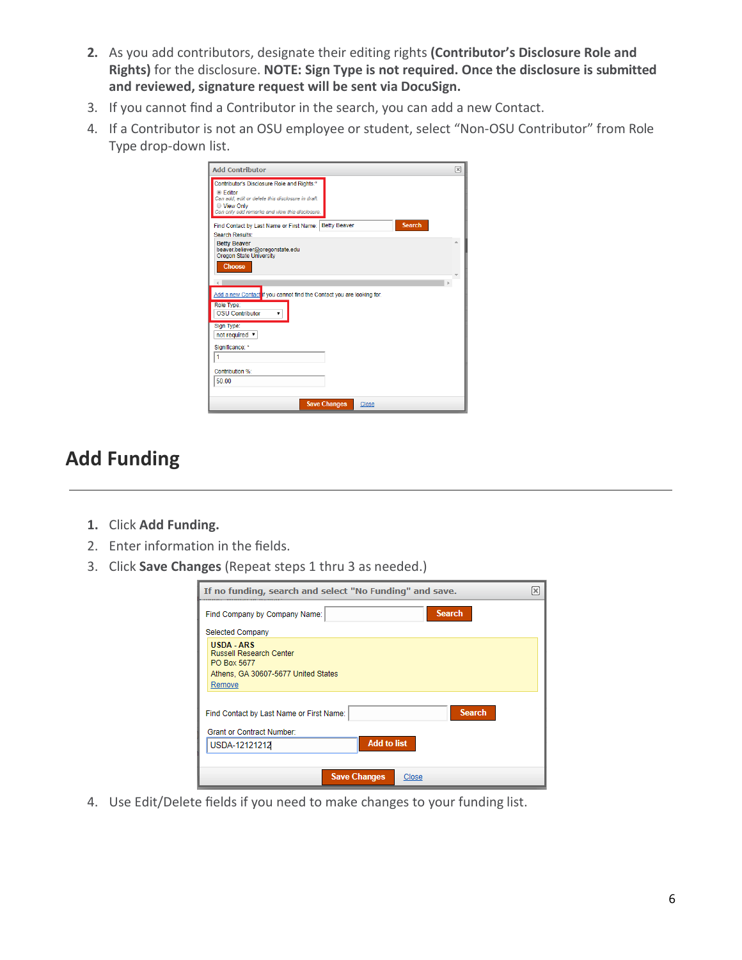- **2.** As you add contributors, designate their editing rights **(Contributor's Disclosure Role and Rights)** for the disclosure. **NOTE: Sign Type is not required. Once the disclosure is submitted and reviewed, signature request will be sent via DocuSign.**
- 3. If you cannot find a Contributor in the search, you can add a new Contact.
- 4. If a Contributor is not an OSU employee or student, select "Non-OSU Contributor" from Role Type drop-down list.

| <b>Add Contributor</b>                                                                                                                                                                                                                                     | ⊠ |
|------------------------------------------------------------------------------------------------------------------------------------------------------------------------------------------------------------------------------------------------------------|---|
| Contributor's Disclosure Role and Rights:*<br>◎ Editor<br>Can add, edit or delete this disclosure in draft.<br>● View Only<br>Can only add remarks and view this disclosure.                                                                               |   |
| <b>Search</b><br><b>Betty Beaver</b><br>Find Contact by Last Name or First Name:  <br><b>Search Results:</b>                                                                                                                                               |   |
| <b>Betty Beaver</b><br>beaver.believer@oregonstate.edu<br><b>Oregon State University</b><br><b>Choose</b><br>Add a new Contact if you cannot find the Contact you are looking for.<br>Role Type:<br><b>OSU Contributor</b><br>Sign Type:<br>not required v |   |
| Significance: *                                                                                                                                                                                                                                            |   |
| 1                                                                                                                                                                                                                                                          |   |
| Contribution %:<br>50.00                                                                                                                                                                                                                                   |   |
| <b>Save Changes</b><br>Close                                                                                                                                                                                                                               |   |

## **Add Funding**

- **1.** Click **Add Funding.**
- 2. Enter information in the fields.
- 3. Click **Save Changes** (Repeat steps 1 thru 3 as needed.)

| If no funding, search and select "No Funding" and save.                                                             | $\boldsymbol{\times}$ |  |  |  |  |  |
|---------------------------------------------------------------------------------------------------------------------|-----------------------|--|--|--|--|--|
| <b>Search</b><br>Find Company by Company Name:                                                                      |                       |  |  |  |  |  |
| <b>Selected Company</b>                                                                                             |                       |  |  |  |  |  |
| <b>USDA - ARS</b><br><b>Russell Research Center</b><br>PO Box 5677<br>Athens, GA 30607-5677 United States<br>Remove |                       |  |  |  |  |  |
| <b>Search</b><br>Find Contact by Last Name or First Name:<br><b>Grant or Contract Number:</b>                       |                       |  |  |  |  |  |
| <b>Add to list</b><br>USDA-12121212                                                                                 |                       |  |  |  |  |  |
|                                                                                                                     |                       |  |  |  |  |  |
| <b>Save Changes</b><br>Close                                                                                        |                       |  |  |  |  |  |

4. Use Edit/Delete fields if you need to make changes to your funding list.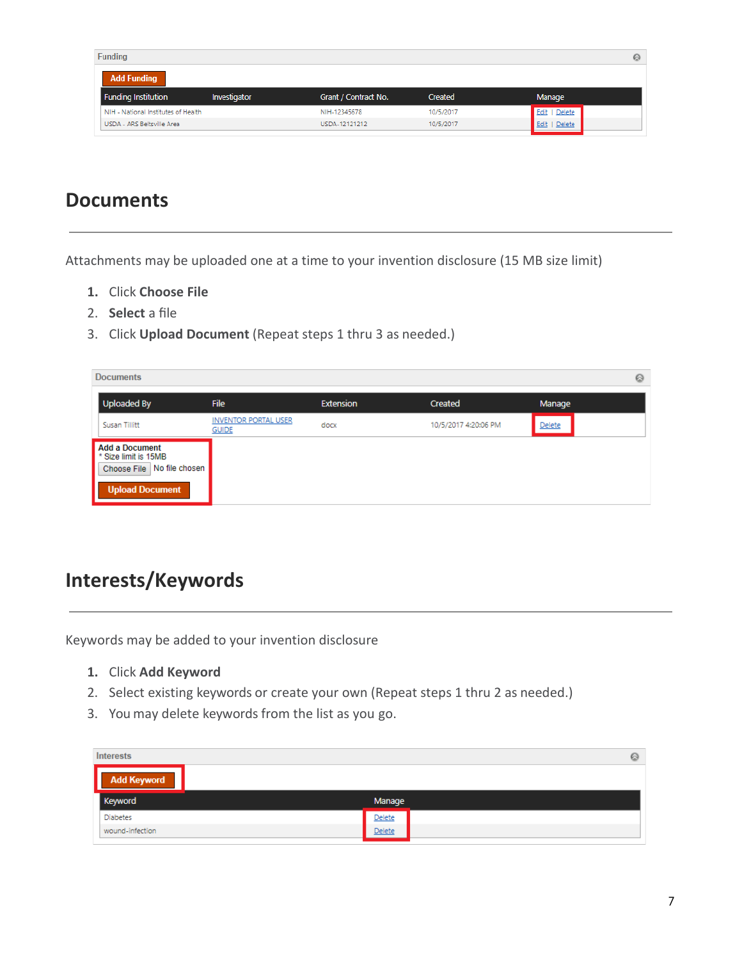| <b>Funding</b>                      |              |                      |           | ⊗             |
|-------------------------------------|--------------|----------------------|-----------|---------------|
| <b>Add Funding</b>                  |              |                      |           |               |
| <b>Funding Institution</b>          | Investigator | Grant / Contract No. | Created   | Manage        |
| NIH - National Institutes of Health |              | NIH-12345678         | 10/5/2017 | Edit   Delete |
| USDA - ARS Beltsville Area          |              | USDA-12121212        | 10/5/2017 | Delete        |

### **Documents**

Attachments may be uploaded one at a time to your invention disclosure (15 MB size limit)

- **1.** Click **Choose File**
- 2. **Select** a file
- 3. Click **Upload Document** (Repeat steps 1 thru 3 as needed.)

|        | <b>Documents</b>                                                                                            |                                             |                  |                      | $\odot$ |
|--------|-------------------------------------------------------------------------------------------------------------|---------------------------------------------|------------------|----------------------|---------|
|        | Uploaded By                                                                                                 | <b>File</b>                                 | <b>Extension</b> | Created              | Manage  |
|        | Susan Tillitt                                                                                               | <b>INVENTOR PORTAL USER</b><br><b>GUIDE</b> | docx             | 10/5/2017 4:20:06 PM | Delete  |
| Н<br>I | Add a Document<br><sup>*</sup> Size limit is 15MB<br>Choose File   No file chosen<br><b>Upload Document</b> |                                             |                  |                      |         |

## **Interests/Keywords**

Keywords may be added to your invention disclosure

- **1.** Click **Add Keyword**
- 2. Select existing keywords or create your own (Repeat steps 1 thru 2 as needed.)
- 3. You may delete keywords from the list as you go.

| <b>Interests</b>   | 0      |
|--------------------|--------|
| <b>Add Keyword</b> |        |
| Keyword            | Manage |
| <b>Diabetes</b>    | Delete |
| wound-infection    | Delete |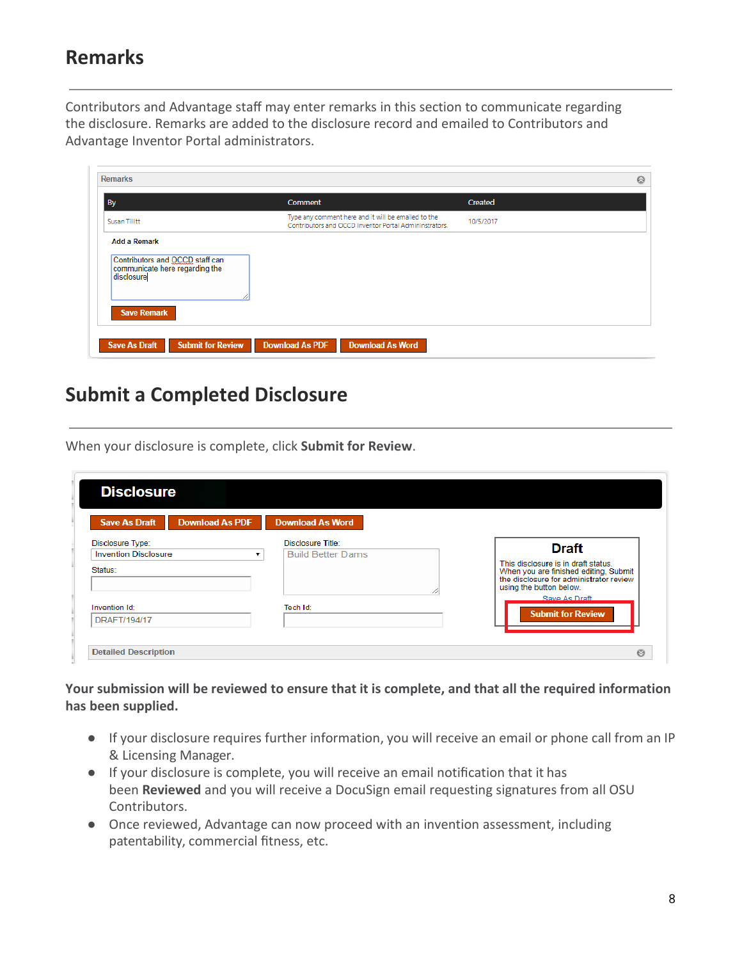### **Remarks**

Contributors and Advantage staff may enter remarks in this section to communicate regarding the disclosure. Remarks are added to the disclosure record and emailed to Contributors and Advantage Inventor Portal administrators.

| By                                                                              | <b>Comment</b>                                                                                                | Created   |
|---------------------------------------------------------------------------------|---------------------------------------------------------------------------------------------------------------|-----------|
| Susan Tillitt                                                                   | Type any comment here and it will be emailed to the<br>Contributors and OCCD Inventor Portal Admininstrators. | 10/5/2017 |
| <b>Add a Remark</b>                                                             |                                                                                                               |           |
| Contributors and OCCD staff can<br>communicate here regarding the<br>disclosure |                                                                                                               |           |
|                                                                                 |                                                                                                               |           |
|                                                                                 |                                                                                                               |           |

#### **Submit a Completed Disclosure**

When your disclosure is complete, click **Submit for Review**.

| <b>Download As PDF</b><br><b>Save As Draft</b>         | <b>Download As Word</b>       |                                                                                                                                                    |
|--------------------------------------------------------|-------------------------------|----------------------------------------------------------------------------------------------------------------------------------------------------|
| <b>Disclosure Type:</b><br><b>Invention Disclosure</b> | Disclosure Title:             | <b>Draft</b>                                                                                                                                       |
| Status:                                                | <b>Build Better Dams</b><br>▼ | This disclosure is in draft status.<br>When you are finished editing, Submit<br>the disclosure for administrator review<br>using the button below. |
| Invention Id:                                          | Tech Id:                      | Save As Draft                                                                                                                                      |
| DRAFT/194/17                                           |                               | <b>Submit for Review</b>                                                                                                                           |

**Your submission will be reviewed to ensure that it is complete, and that all the required information has been supplied.**

- If your disclosure requires further information, you will receive an email or phone call from an IP & Licensing Manager.
- If your disclosure is complete, you will receive an email notification that it has been **Reviewed** and you will receive a DocuSign email requesting signatures from all OSU Contributors.
- Once reviewed, Advantage can now proceed with an invention assessment, including patentability, commercial fitness, etc.